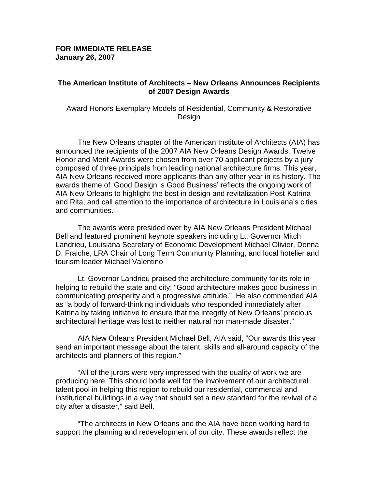### **FOR IMMEDIATE RELEASE January 26, 2007**

### **The American Institute of Architects – New Orleans Announces Recipients of 2007 Design Awards**

Award Honors Exemplary Models of Residential, Community & Restorative Design

 The New Orleans chapter of the American Institute of Architects (AIA) has announced the recipients of the 2007 AIA New Orleans Design Awards. Twelve Honor and Merit Awards were chosen from over 70 applicant projects by a jury composed of three principals from leading national architecture firms. This year, AIA New Orleans received more applicants than any other year in its history. The awards theme of 'Good Design is Good Business' reflects the ongoing work of AIA New Orleans to highlight the best in design and revitalization Post-Katrina and Rita, and call attention to the importance of architecture in Louisiana's cities and communities.

The awards were presided over by AIA New Orleans President Michael Bell and featured prominent keynote speakers including Lt. Governor Mitch Landrieu, Louisiana Secretary of Economic Development Michael Olivier, Donna D. Fraiche, LRA Chair of Long Term Community Planning, and local hotelier and tourism leader Michael Valentino

Lt. Governor Landrieu praised the architecture community for its role in helping to rebuild the state and city: "Good architecture makes good business in communicating prosperity and a progressive attitude." He also commended AIA as "a body of forward-thinking individuals who responded immediately after Katrina by taking initiative to ensure that the integrity of New Orleans' precious architectural heritage was lost to neither natural nor man-made disaster."

 AIA New Orleans President Michael Bell, AIA said, "Our awards this year send an important message about the talent, skills and all-around capacity of the architects and planners of this region."

 "All of the jurors were very impressed with the quality of work we are producing here. This should bode well for the involvement of our architectural talent pool in helping this region to rebuild our residential, commercial and institutional buildings in a way that should set a new standard for the revival of a city after a disaster," said Bell.

"The architects in New Orleans and the AIA have been working hard to support the planning and redevelopment of our city. These awards reflect the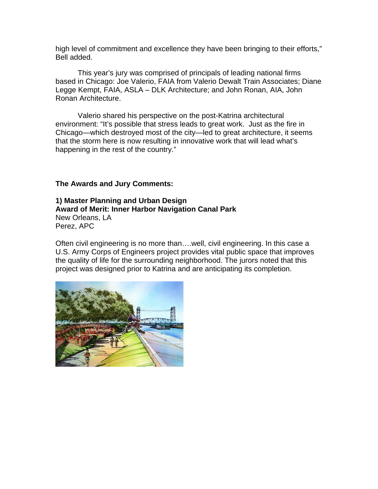high level of commitment and excellence they have been bringing to their efforts," Bell added.

 This year's jury was comprised of principals of leading national firms based in Chicago: Joe Valerio, FAIA from Valerio Dewalt Train Associates; Diane Legge Kempt, FAIA, ASLA – DLK Architecture; and John Ronan, AIA, John Ronan Architecture.

Valerio shared his perspective on the post-Katrina architectural environment: "It's possible that stress leads to great work. Just as the fire in Chicago—which destroyed most of the city—led to great architecture, it seems that the storm here is now resulting in innovative work that will lead what's happening in the rest of the country."

**The Awards and Jury Comments:** 

**1) Master Planning and Urban Design Award of Merit: Inner Harbor Navigation Canal Park**  New Orleans, LA Perez, APC

Often civil engineering is no more than….well, civil engineering. In this case a U.S. Army Corps of Engineers project provides vital public space that improves the quality of life for the surrounding neighborhood. The jurors noted that this project was designed prior to Katrina and are anticipating its completion.

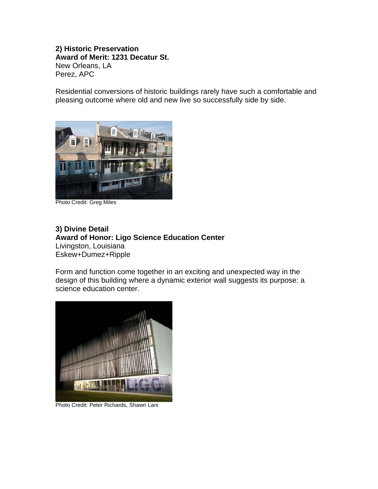### **2) Historic Preservation Award of Merit: 1231 Decatur St.** New Orleans, LA Perez, APC

Residential conversions of historic buildings rarely have such a comfortable and pleasing outcome where old and new live so successfully side by side.



Photo Credit: Greg Miles

## **3) Divine Detail Award of Honor: Ligo Science Education Center** Livingston, Louisiana Eskew+Dumez+Ripple

Form and function come together in an exciting and unexpected way in the design of this building where a dynamic exterior wall suggests its purpose: a science education center.



Photo Credit: Peter Richards, Shawn Lani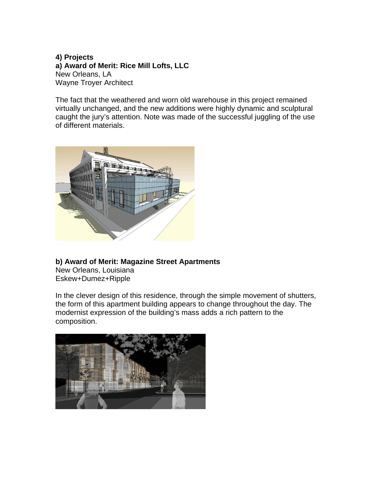## **4) Projects a) Award of Merit: Rice Mill Lofts, LLC** New Orleans, LA Wayne Troyer Architect

The fact that the weathered and worn old warehouse in this project remained virtually unchanged, and the new additions were highly dynamic and sculptural caught the jury's attention. Note was made of the successful juggling of the use of different materials.



# **b) Award of Merit: Magazine Street Apartments**

New Orleans, Louisiana Eskew+Dumez+Ripple

In the clever design of this residence, through the simple movement of shutters, the form of this apartment building appears to change throughout the day. The modernist expression of the building's mass adds a rich pattern to the composition.

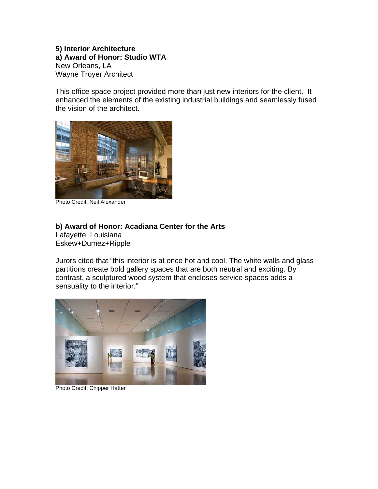**5) Interior Architecture a) Award of Honor: Studio WTA** New Orleans, LA Wayne Troyer Architect

This office space project provided more than just new interiors for the client. It enhanced the elements of the existing industrial buildings and seamlessly fused the vision of the architect.



Photo Credit: Neil Alexander

## **b) Award of Honor: Acadiana Center for the Arts**

Lafayette, Louisiana Eskew+Dumez+Ripple

Jurors cited that "this interior is at once hot and cool. The white walls and glass partitions create bold gallery spaces that are both neutral and exciting. By contrast, a sculptured wood system that encloses service spaces adds a sensuality to the interior."



Photo Credit: Chipper Hatter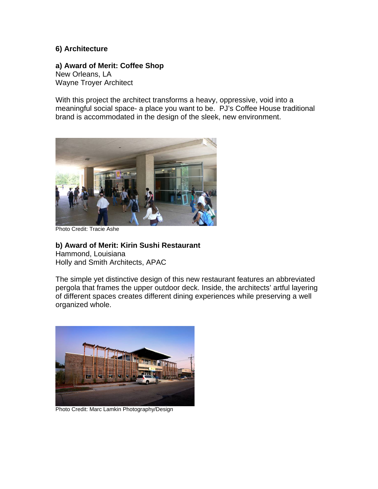## **6) Architecture**

## **a) Award of Merit: Coffee Shop**  New Orleans, LA

Wayne Troyer Architect

With this project the architect transforms a heavy, oppressive, void into a meaningful social space- a place you want to be. PJ's Coffee House traditional brand is accommodated in the design of the sleek, new environment.



Photo Credit: Tracie Ashe

**b) Award of Merit: Kirin Sushi Restaurant** Hammond, Louisiana Holly and Smith Architects, APAC

The simple yet distinctive design of this new restaurant features an abbreviated pergola that frames the upper outdoor deck. Inside, the architects' artful layering of different spaces creates different dining experiences while preserving a well organized whole.



Photo Credit: Marc Lamkin Photography/Design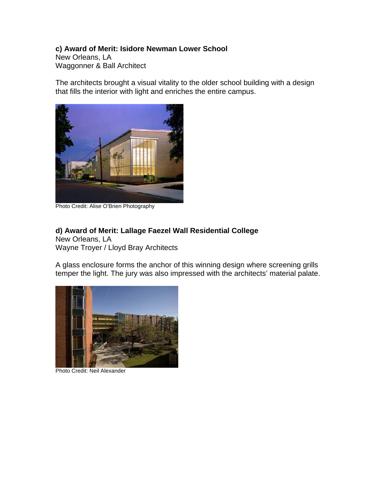# **c) Award of Merit: Isidore Newman Lower School**

New Orleans, LA Waggonner & Ball Architect

The architects brought a visual vitality to the older school building with a design that fills the interior with light and enriches the entire campus.



Photo Credit: Alise O'Brien Photography

## **d) Award of Merit: Lallage Faezel Wall Residential College** New Orleans, LA

Wayne Troyer / Lloyd Bray Architects

A glass enclosure forms the anchor of this winning design where screening grills temper the light. The jury was also impressed with the architects' material palate.



Photo Credit: Neil Alexander